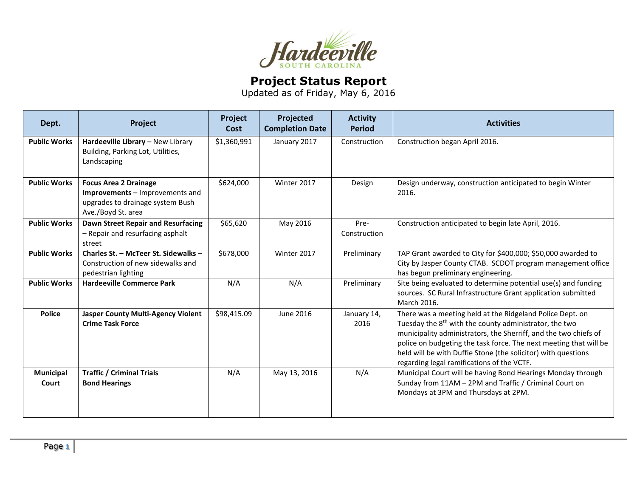

## **Project Status Report**

Updated as of Friday, May 6, 2016

| Dept.                     | Project                                                                                                                   | Project<br>Cost | Projected<br><b>Completion Date</b> | <b>Activity</b><br><b>Period</b> | <b>Activities</b>                                                                                                                                                                                                                                                                                                                                                                       |
|---------------------------|---------------------------------------------------------------------------------------------------------------------------|-----------------|-------------------------------------|----------------------------------|-----------------------------------------------------------------------------------------------------------------------------------------------------------------------------------------------------------------------------------------------------------------------------------------------------------------------------------------------------------------------------------------|
| <b>Public Works</b>       | Hardeeville Library - New Library<br>Building, Parking Lot, Utilities,<br>Landscaping                                     | \$1,360,991     | January 2017                        | Construction                     | Construction began April 2016.                                                                                                                                                                                                                                                                                                                                                          |
| <b>Public Works</b>       | <b>Focus Area 2 Drainage</b><br>Improvements - Improvements and<br>upgrades to drainage system Bush<br>Ave./Boyd St. area | \$624,000       | Winter 2017                         | Design                           | Design underway, construction anticipated to begin Winter<br>2016.                                                                                                                                                                                                                                                                                                                      |
| <b>Public Works</b>       | <b>Dawn Street Repair and Resurfacing</b><br>- Repair and resurfacing asphalt<br>street                                   | \$65,620        | May 2016                            | Pre-<br>Construction             | Construction anticipated to begin late April, 2016.                                                                                                                                                                                                                                                                                                                                     |
| <b>Public Works</b>       | Charles St. - McTeer St. Sidewalks -<br>Construction of new sidewalks and<br>pedestrian lighting                          | \$678,000       | Winter 2017                         | Preliminary                      | TAP Grant awarded to City for \$400,000; \$50,000 awarded to<br>City by Jasper County CTAB. SCDOT program management office<br>has begun preliminary engineering.                                                                                                                                                                                                                       |
| <b>Public Works</b>       | <b>Hardeeville Commerce Park</b>                                                                                          | N/A             | N/A                                 | Preliminary                      | Site being evaluated to determine potential use(s) and funding<br>sources. SC Rural Infrastructure Grant application submitted<br>March 2016.                                                                                                                                                                                                                                           |
| <b>Police</b>             | <b>Jasper County Multi-Agency Violent</b><br><b>Crime Task Force</b>                                                      | \$98,415.09     | June 2016                           | January 14,<br>2016              | There was a meeting held at the Ridgeland Police Dept. on<br>Tuesday the 8 <sup>th</sup> with the county administrator, the two<br>municipality administrators, the Sherriff, and the two chiefs of<br>police on budgeting the task force. The next meeting that will be<br>held will be with Duffie Stone (the solicitor) with questions<br>regarding legal ramifications of the VCTF. |
| <b>Municipal</b><br>Court | <b>Traffic / Criminal Trials</b><br><b>Bond Hearings</b>                                                                  | N/A             | May 13, 2016                        | N/A                              | Municipal Court will be having Bond Hearings Monday through<br>Sunday from 11AM - 2PM and Traffic / Criminal Court on<br>Mondays at 3PM and Thursdays at 2PM.                                                                                                                                                                                                                           |